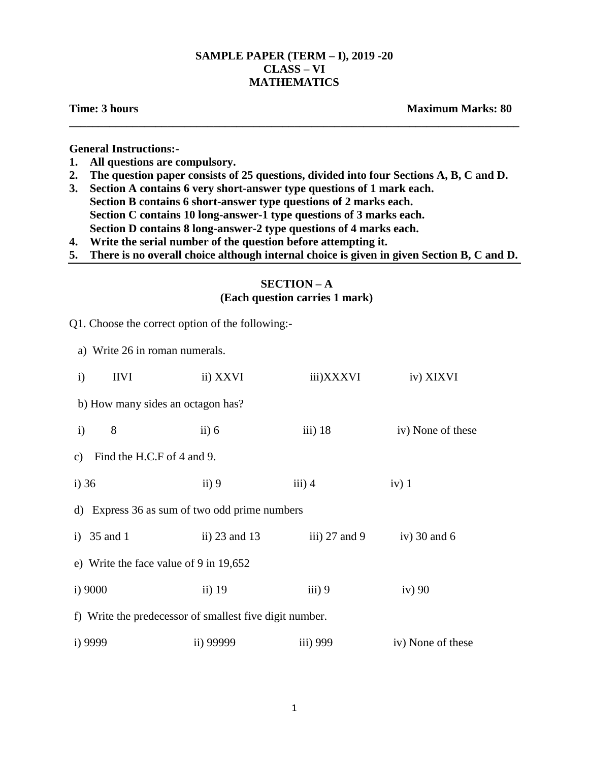# **SAMPLE PAPER (TERM – I), 2019 -20 CLASS – VI MATHEMATICS**

**\_\_\_\_\_\_\_\_\_\_\_\_\_\_\_\_\_\_\_\_\_\_\_\_\_\_\_\_\_\_\_\_\_\_\_\_\_\_\_\_\_\_\_\_\_\_\_\_\_\_\_\_\_\_\_\_\_\_\_\_\_\_\_\_\_\_\_\_\_\_\_\_\_\_\_\_\_\_**

**Time: 3 hours Maximum Marks: 80** 

**General Instructions:-**

- **1. All questions are compulsory.**
- **2. The question paper consists of 25 questions, divided into four Sections A, B, C and D.**
- **3. Section A contains 6 very short-answer type questions of 1 mark each. Section B contains 6 short-answer type questions of 2 marks each. Section C contains 10 long-answer-1 type questions of 3 marks each. Section D contains 8 long-answer-2 type questions of 4 marks each.**
- **4. Write the serial number of the question before attempting it.**
- **5. There is no overall choice although internal choice is given in given Section B, C and D.**

### **SECTION – A**

# **(Each question carries 1 mark)**

| Q1. Choose the correct option of the following:-        |                      |                             |                   |  |  |
|---------------------------------------------------------|----------------------|-----------------------------|-------------------|--|--|
| a) Write 26 in roman numerals.                          |                      |                             |                   |  |  |
| <b>IIVI</b><br>$\mathbf{i}$                             | ii) XXVI             | iii)XXXVI                   | iv) XIXVI         |  |  |
| b) How many sides an octagon has?                       |                      |                             |                   |  |  |
| 8<br>$\ddot{\mathbf{i}}$                                | $\left  i \right $ 6 | iii) $18$                   | iv) None of these |  |  |
| Find the H.C.F of 4 and 9.<br>$\mathbf{c})$             |                      |                             |                   |  |  |
| $i)$ 36                                                 | $\mathbf{ii}$ ) 9    | iii) 4                      | $iv)$ 1           |  |  |
| d) Express 36 as sum of two odd prime numbers           |                      |                             |                   |  |  |
| i) $35$ and 1                                           | ii) $23$ and $13$    | iii) $27$ and $9$           | iv) $30$ and $6$  |  |  |
| e) Write the face value of 9 in 19,652                  |                      |                             |                   |  |  |
| i) 9000                                                 | ii) $19$             | $\overline{\text{iii}}$ ) 9 | iv)90             |  |  |
| f) Write the predecessor of smallest five digit number. |                      |                             |                   |  |  |
| i) 9999                                                 | ii) 99999            | iii) 999                    | iv) None of these |  |  |
|                                                         |                      |                             |                   |  |  |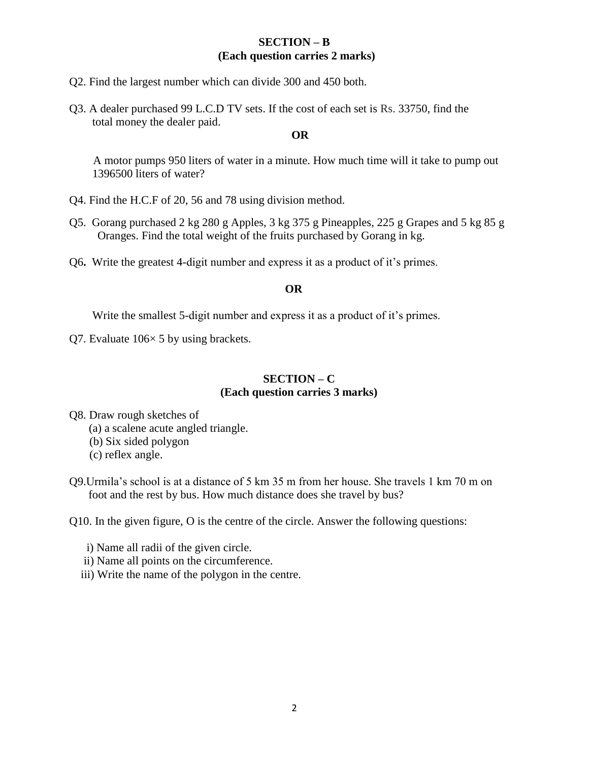# **SECTION – B (Each question carries 2 marks)**

- Q2. Find the largest number which can divide 300 and 450 both.
- Q3. A dealer purchased 99 L.C.D TV sets. If the cost of each set is Rs. 33750, find the total money the dealer paid.

#### **OR**

 A motor pumps 950 liters of water in a minute. How much time will it take to pump out 1396500 liters of water?

- Q4. Find the H.C.F of 20, 56 and 78 using division method.
- Q5. Gorang purchased 2 kg 280 g Apples, 3 kg 375 g Pineapples, 225 g Grapes and 5 kg 85 g Oranges. Find the total weight of the fruits purchased by Gorang in kg.
- Q6**.** Write the greatest 4-digit number and express it as a product of it's primes.

#### **OR**

Write the smallest 5-digit number and express it as a product of it's primes.

Q7. Evaluate 106× 5 by using brackets.

# **SECTION – C (Each question carries 3 marks)**

Q8. Draw rough sketches of

(a) a scalene acute angled triangle.

(b) Six sided polygon

(c) reflex angle.

Q9.Urmila's school is at a distance of 5 km 35 m from her house. She travels 1 km 70 m on foot and the rest by bus. How much distance does she travel by bus?

Q10. In the given figure, O is the centre of the circle. Answer the following questions:

i) Name all radii of the given circle.

- ii) Name all points on the circumference.
- iii) Write the name of the polygon in the centre.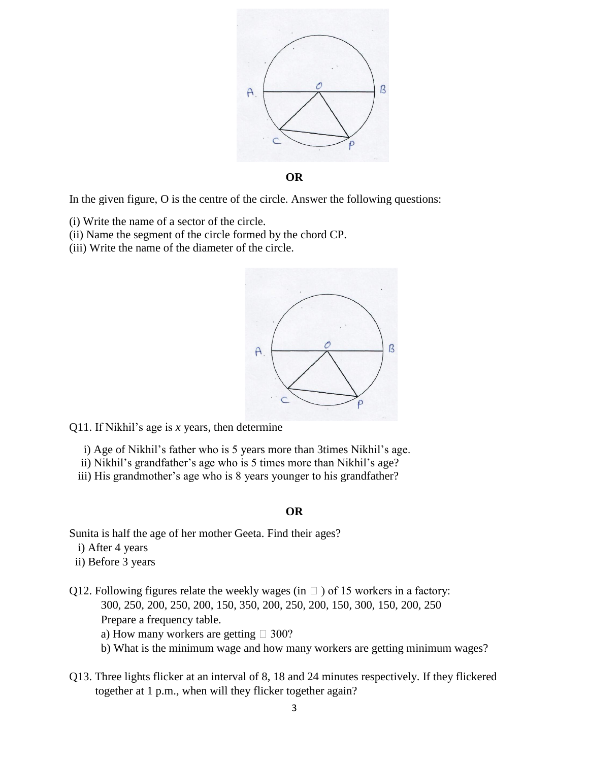

In the given figure, O is the centre of the circle. Answer the following questions:

- (i) Write the name of a sector of the circle.
- (ii) Name the segment of the circle formed by the chord CP.
- (iii) Write the name of the diameter of the circle.



Q11. If Nikhil's age is *x* years, then determine

- i) Age of Nikhil's father who is 5 years more than 3times Nikhil's age.
- ii) Nikhil's grandfather's age who is 5 times more than Nikhil's age?
- iii) His grandmother's age who is 8 years younger to his grandfather?

#### **OR**

Sunita is half the age of her mother Geeta. Find their ages?

- i) After 4 years
- ii) Before 3 years
- Q12. Following figures relate the weekly wages (in  $\Box$ ) of 15 workers in a factory: 300, 250, 200, 250, 200, 150, 350, 200, 250, 200, 150, 300, 150, 200, 250 Prepare a frequency table.
	- a) How many workers are getting  $\Box$  300?
	- b) What is the minimum wage and how many workers are getting minimum wages?
- Q13. Three lights flicker at an interval of 8, 18 and 24 minutes respectively. If they flickered together at 1 p.m., when will they flicker together again?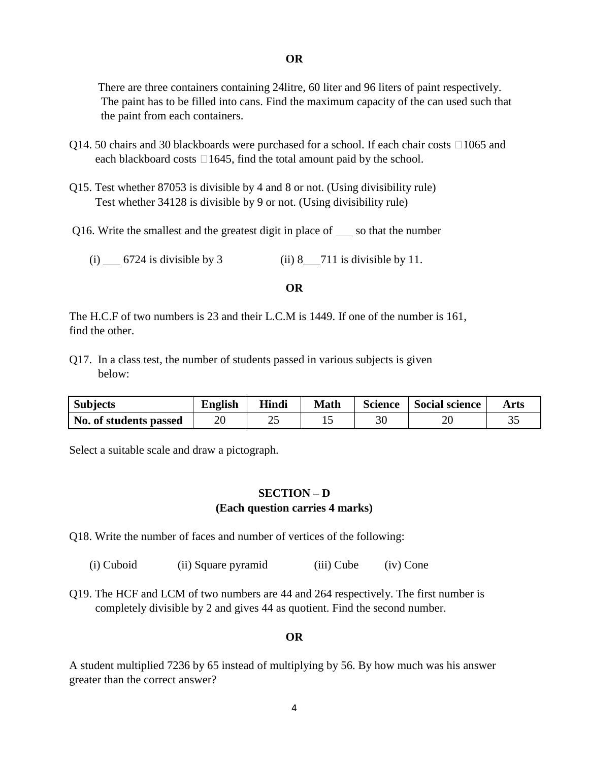There are three containers containing 24litre, 60 liter and 96 liters of paint respectively. The paint has to be filled into cans. Find the maximum capacity of the can used such that the paint from each containers.

- Q14. 50 chairs and 30 blackboards were purchased for a school. If each chair costs  $\Box 1065$  and each blackboard costs  $\Box 1645$ , find the total amount paid by the school.
- Q15. Test whether 87053 is divisible by 4 and 8 or not. (Using divisibility rule) Test whether 34128 is divisible by 9 or not. (Using divisibility rule)
- Q16. Write the smallest and the greatest digit in place of  $\_\_\_\$ so that the number

(i) 6724 is divisible by 3 (ii) 8 711 is divisible by 11.

### **OR**

The H.C.F of two numbers is 23 and their L.C.M is 1449. If one of the number is 161, find the other.

Q17. In a class test, the number of students passed in various subjects is given below:

| <b>Subjects</b>        | <b>English</b> | Hindi | <b>Math</b> | <b>Science</b> | <b>Social science</b> | Arts |
|------------------------|----------------|-------|-------------|----------------|-----------------------|------|
| No. of students passed | 20             | ∠⊾    |             | 30             |                       | ັ    |

Select a suitable scale and draw a pictograph.

# **SECTION – D (Each question carries 4 marks)**

Q18. Write the number of faces and number of vertices of the following:

(i) Cuboid (ii) Square pyramid (iii) Cube (iv) Cone

Q19. The HCF and LCM of two numbers are 44 and 264 respectively. The first number is completely divisible by 2 and gives 44 as quotient. Find the second number.

### **OR**

A student multiplied 7236 by 65 instead of multiplying by 56. By how much was his answer greater than the correct answer?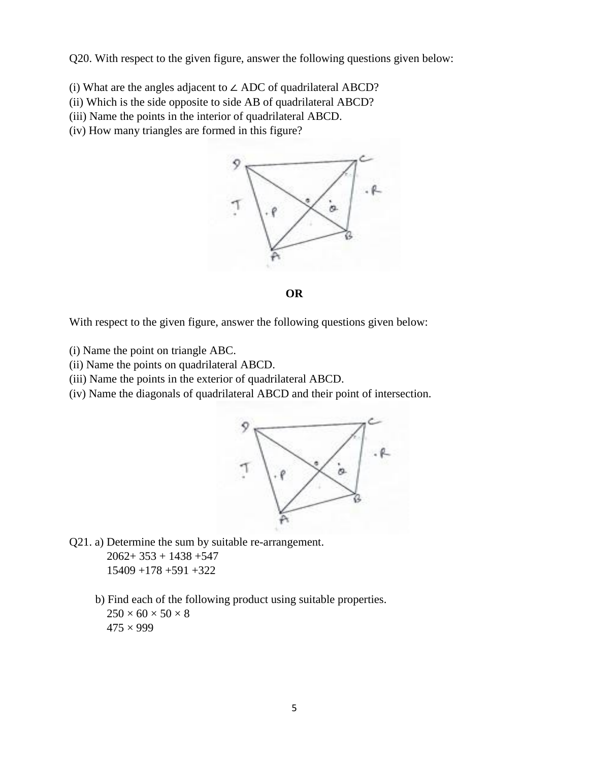Q20. With respect to the given figure, answer the following questions given below:

- (i) What are the angles adjacent to ∠ ADC of quadrilateral ABCD?
- (ii) Which is the side opposite to side AB of quadrilateral ABCD?
- (iii) Name the points in the interior of quadrilateral ABCD.
- (iv) How many triangles are formed in this figure?





With respect to the given figure, answer the following questions given below:

- (i) Name the point on triangle ABC.
- (ii) Name the points on quadrilateral ABCD.
- (iii) Name the points in the exterior of quadrilateral ABCD.
- (iv) Name the diagonals of quadrilateral ABCD and their point of intersection.



- Q21. a) Determine the sum by suitable re-arrangement.  $2062+353+1438+547$  15409 +178 +591 +322
	- b) Find each of the following product using suitable properties.  $250 \times 60 \times 50 \times 8$  $475 \times 999$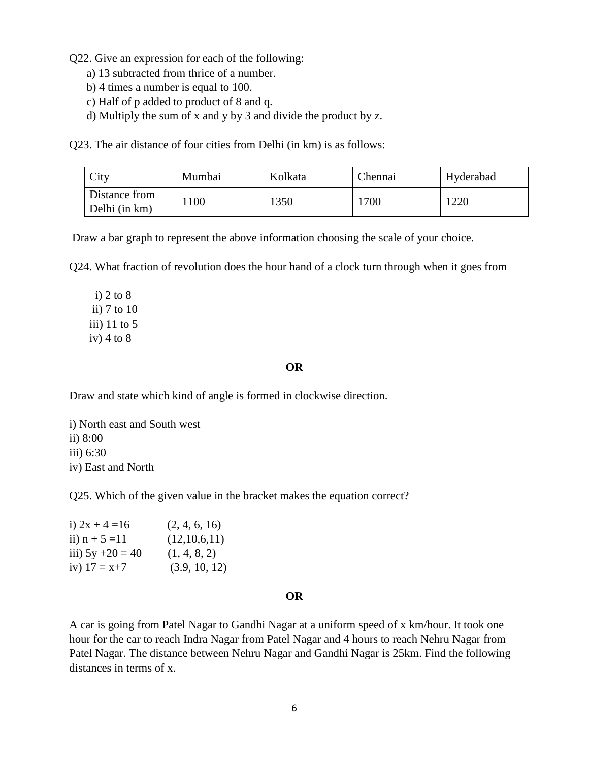Q22. Give an expression for each of the following:

- a) 13 subtracted from thrice of a number.
- b) 4 times a number is equal to 100.
- c) Half of p added to product of 8 and q.
- d) Multiply the sum of x and y by 3 and divide the product by z.

Q23. The air distance of four cities from Delhi (in km) is as follows:

| <b>City</b>                    | Mumbai | Kolkata | Chennai | Hyderabad |
|--------------------------------|--------|---------|---------|-----------|
| Distance from<br>Delhi (in km) | 100ء   | 1350    | 1700    | 1220      |

Draw a bar graph to represent the above information choosing the scale of your choice.

Q24. What fraction of revolution does the hour hand of a clock turn through when it goes from

 i) 2 to 8 ii) 7 to 10 iii) 11 to 5 iv)  $4$  to  $8$ 

#### **OR**

Draw and state which kind of angle is formed in clockwise direction.

i) North east and South west ii) 8:00 iii) 6:30 iv) East and North

Q25. Which of the given value in the bracket makes the equation correct?

| i) $2x + 4 = 16$    | (2, 4, 6, 16) |
|---------------------|---------------|
| ii) $n + 5 = 11$    | (12,10,6,11)  |
| iii) $5y + 20 = 40$ | (1, 4, 8, 2)  |
| iv) $17 = x + 7$    | (3.9, 10, 12) |

#### **OR**

A car is going from Patel Nagar to Gandhi Nagar at a uniform speed of x km/hour. It took one hour for the car to reach Indra Nagar from Patel Nagar and 4 hours to reach Nehru Nagar from Patel Nagar. The distance between Nehru Nagar and Gandhi Nagar is 25km. Find the following distances in terms of x.